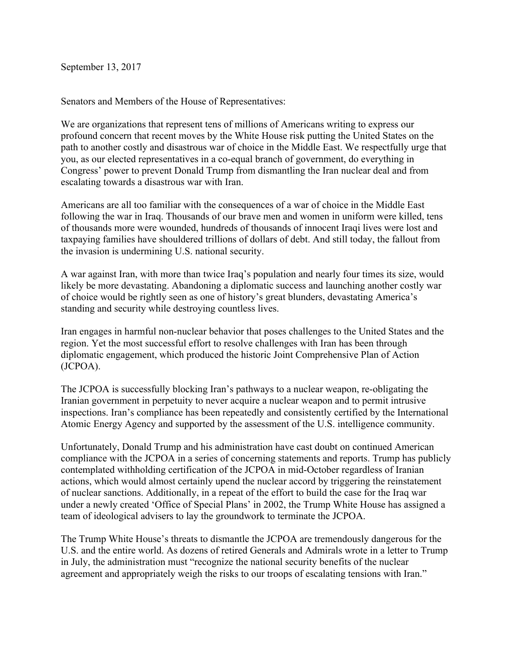September 13, 2017

Senators and Members of the House of Representatives:

We are organizations that represent tens of millions of Americans writing to express our profound concern that recent moves by the White House risk putting the United States on the path to another costly and disastrous war of choice in the Middle East. We respectfully urge that you, as our elected representatives in a co-equal branch of government, do everything in Congress' power to prevent Donald Trump from dismantling the Iran nuclear deal and from escalating towards a disastrous war with Iran.

Americans are all too familiar with the consequences of a war of choice in the Middle East following the war in Iraq. Thousands of our brave men and women in uniform were killed, tens of thousands more were wounded, hundreds of thousands of innocent Iraqi lives were lost and taxpaying families have shouldered trillions of dollars of debt. And still today, the fallout from the invasion is undermining U.S. national security.

A war against Iran, with more than twice Iraq's population and nearly four times its size, would likely be more devastating. Abandoning a diplomatic success and launching another costly war of choice would be rightly seen as one of history's great blunders, devastating America's standing and security while destroying countless lives.

Iran engages in harmful non-nuclear behavior that poses challenges to the United States and the region. Yet the most successful effort to resolve challenges with Iran has been through diplomatic engagement, which produced the historic Joint Comprehensive Plan of Action (JCPOA).

The JCPOA is successfully blocking Iran's pathways to a nuclear weapon, re-obligating the Iranian government in perpetuity to never acquire a nuclear weapon and to permit intrusive inspections. Iran's compliance has been repeatedly and consistently certified by the International Atomic Energy Agency and supported by the assessment of the U.S. intelligence community.

Unfortunately, Donald Trump and his administration have cast doubt on continued American compliance with the JCPOA in a series of concerning statements and reports. Trump has publicly contemplated withholding certification of the JCPOA in mid-October regardless of Iranian actions, which would almost certainly upend the nuclear accord by triggering the reinstatement of nuclear sanctions. Additionally, in a repeat of the effort to build the case for the Iraq war under a newly created 'Office of Special Plans' in 2002, the Trump White House has assigned a team of ideological advisers to lay the groundwork to terminate the JCPOA.

The Trump White House's threats to dismantle the JCPOA are tremendously dangerous for the U.S. and the entire world. As dozens of retired Generals and Admirals wrote in a letter to Trump in July, the administration must "recognize the national security benefits of the nuclear agreement and appropriately weigh the risks to our troops of escalating tensions with Iran."